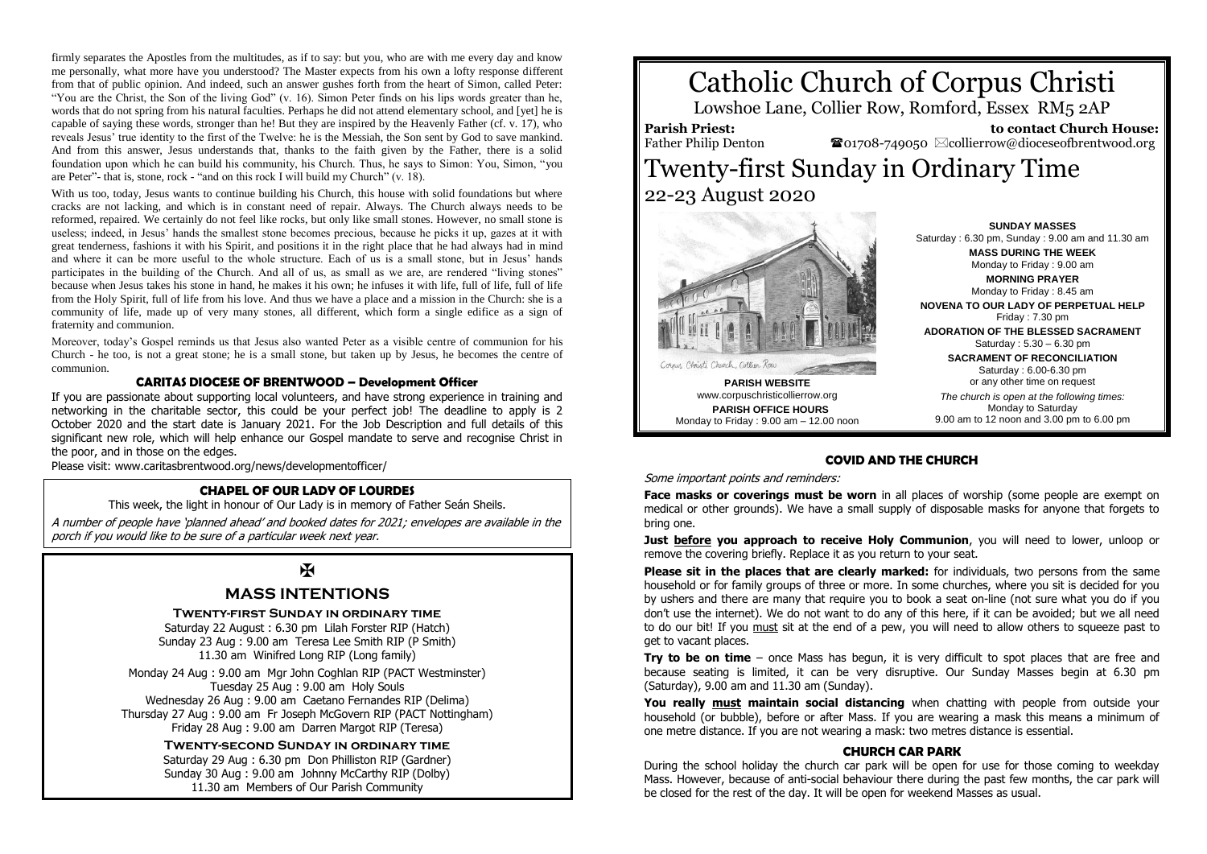firmly separates the Apostles from the multitudes, as if to say: but you, who are with me every day and know me personally, what more have you understood? The Master expects from his own a lofty response different from that of public opinion. And indeed, such an answer gushes forth from the heart of Simon, called Peter: "You are the Christ, the Son of the living God" (v. 16). Simon Peter finds on his lips words greater than he, words that do not spring from his natural faculties. Perhaps he did not attend elementary school, and [yet] he is capable of saying these words, stronger than he! But they are inspired by the Heavenly Father (cf. v. 17), who reveals Jesus' true identity to the first of the Twelve: he is the Messiah, the Son sent by God to save mankind. And from this answer, Jesus understands that, thanks to the faith given by the Father, there is a solid foundation upon which he can build his community, his Church. Thus, he says to Simon: You, Simon, "you are Peter"- that is, stone, rock - "and on this rock I will build my Church" (v. 18).

With us too, today. Jesus wants to continue building his Church, this house with solid foundations but where cracks are not lacking, and which is in constant need of repair. Always. The Church always needs to be reformed, repaired. We certainly do not feel like rocks, but only like small stones. However, no small stone is useless; indeed, in Jesus' hands the smallest stone becomes precious, because he picks it up, gazes at it with great tenderness, fashions it with his Spirit, and positions it in the right place that he had always had in mind and where it can be more useful to the whole structure. Each of us is a small stone, but in Jesus' hands participates in the building of the Church. And all of us, as small as we are, are rendered "living stones" because when Jesus takes his stone in hand, he makes it his own; he infuses it with life, full of life, full of life from the Holy Spirit, full of life from his love. And thus we have a place and a mission in the Church: she is a community of life, made up of very many stones, all different, which form a single edifice as a sign of fraternity and communion.

Moreover, today's Gospel reminds us that Jesus also wanted Peter as a visible centre of communion for his Church - he too, is not a great stone; he is a small stone, but taken up by Jesus, he becomes the centre of communion.

## **CARITAS DIOCESE OF BRENTWOOD – Development Officer**

If you are passionate about supporting local volunteers, and have strong experience in training and networking in the charitable sector, this could be your perfect job! The deadline to apply is 2 October 2020 and the start date is January 2021. For the Job Description and full details of this significant new role, which will help enhance our Gospel mandate to serve and recognise Christ in the poor, and in those on the edges.

Please visit: www.caritasbrentwood.org/news/developmentofficer/

#### **CHAPEL OF OUR LADY OF LOURDES**

This week, the light in honour of Our Lady is in memory of Father Seán Sheils.

A number of people have 'planned ahead' and booked dates for 2021; envelopes are available in the porch if you would like to be sure of a particular week next year.

## $\overline{\mathbf{M}}$

## **MASS INTENTIONS**

**Twenty-first Sunday in ordinary time**

Saturday 22 August : 6.30 pm Lilah Forster RIP (Hatch) Sunday 23 Aug : 9.00 am Teresa Lee Smith RIP (P Smith) 11.30 am Winifred Long RIP (Long family)

Monday 24 Aug : 9.00 am Mgr John Coghlan RIP (PACT Westminster) Tuesday 25 Aug : 9.00 am Holy Souls Wednesday 26 Aug : 9.00 am Caetano Fernandes RIP (Delima) Thursday 27 Aug : 9.00 am Fr Joseph McGovern RIP (PACT Nottingham) Friday 28 Aug : 9.00 am Darren Margot RIP (Teresa)

> **Twenty-second Sunday in ordinary time** Saturday 29 Aug : 6.30 pm Don Philliston RIP (Gardner) Sunday 30 Aug : 9.00 am Johnny McCarthy RIP (Dolby) 11.30 am Members of Our Parish Community

# Catholic Church of Corpus Christi

Lowshoe Lane, Collier Row, Romford, Essex RM5 2AP

**Parish Priest:** Father Philip Denton

 **to contact Church House: </u> solution** $001708-749050 ∞ collierrow@dioceseofbrentwood.org$ 

# Twenty-first Sunday in Ordinary Time 22-23 August 2020



**PARISH OFFICE HOURS** Monday to Friday : 9.00 am – 12.00 noon

**SUNDAY MASSES** Saturday : 6.30 pm, Sunday : 9.00 am and 11.30 am **MASS DURING THE WEEK** Monday to Friday : 9.00 am **MORNING PRAYER** Monday to Friday : 8.45 am **NOVENA TO OUR LADY OF PERPETUAL HELP** Friday : 7.30 pm **ADORATION OF THE BLESSED SACRAMENT** Saturday : 5.30 – 6.30 pm **SACRAMENT OF RECONCILIATION** Saturday : 6.00-6.30 pm or any other time on request *The church is open at the following times:* Monday to Saturday 9.00 am to 12 noon and 3.00 pm to 6.00 pm

#### **COVID AND THE CHURCH**

Some important points and reminders:

**Face masks or coverings must be worn** in all places of worship (some people are exempt on medical or other grounds). We have a small supply of disposable masks for anyone that forgets to bring one.

**Just before you approach to receive Holy Communion**, you will need to lower, unloop or remove the covering briefly. Replace it as you return to your seat.

**Please sit in the places that are clearly marked:** for individuals, two persons from the same household or for family groups of three or more. In some churches, where you sit is decided for you by ushers and there are many that require you to book a seat on-line (not sure what you do if you don't use the internet). We do not want to do any of this here, if it can be avoided; but we all need to do our bit! If you must sit at the end of a pew, you will need to allow others to squeeze past to get to vacant places.

**Try to be on time** – once Mass has begun, it is very difficult to spot places that are free and because seating is limited, it can be very disruptive. Our Sunday Masses begin at 6.30 pm (Saturday), 9.00 am and 11.30 am (Sunday).

**You really must maintain social distancing** when chatting with people from outside your household (or bubble), before or after Mass. If you are wearing a mask this means a minimum of one metre distance. If you are not wearing a mask: two metres distance is essential.

#### **CHURCH CAR PARK**

During the school holiday the church car park will be open for use for those coming to weekday Mass. However, because of anti-social behaviour there during the past few months, the car park will be closed for the rest of the day. It will be open for weekend Masses as usual.